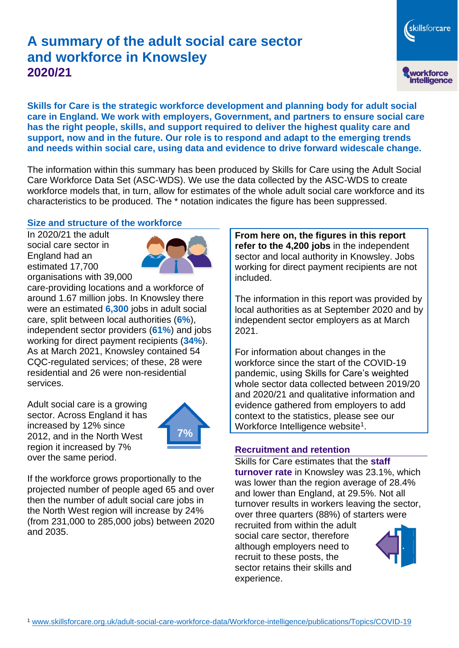# **A summary of the adult social care sector and workforce in Knowsley 2020/21**

workforce<br>intelligence **Skills for Care is the strategic workforce development and planning body for adult social care in England. We work with employers, Government, and partners to ensure social care has the right people, skills, and support required to deliver the highest quality care and** 

**support, now and in the future. Our role is to respond and adapt to the emerging trends and needs within social care, using data and evidence to drive forward widescale change.**

The information within this summary has been produced by Skills for Care using the Adult Social Care Workforce Data Set (ASC-WDS). We use the data collected by the ASC-WDS to create workforce models that, in turn, allow for estimates of the whole adult social care workforce and its characteristics to be produced. The \* notation indicates the figure has been suppressed.

#### **Size and structure of the workforce**

In 2020/21 the adult social care sector in England had an estimated 17,700 organisations with 39,000



care-providing locations and a workforce of around 1.67 million jobs. In Knowsley there were an estimated **6,300** jobs in adult social care, split between local authorities (**6%**), independent sector providers (**61%**) and jobs working for direct payment recipients (**34%**). As at March 2021, Knowsley contained 54 CQC-regulated services; of these, 28 were residential and 26 were non-residential services.

Adult social care is a growing sector. Across England it has increased by 12% since 2012, and in the North West region it increased by 7% over the same period.



If the workforce grows proportionally to the projected number of people aged 65 and over then the number of adult social care jobs in the North West region will increase by 24% (from 231,000 to 285,000 jobs) between 2020 and 2035.

**From here on, the figures in this report refer to the 4,200 jobs** in the independent sector and local authority in Knowsley. Jobs working for direct payment recipients are not included.

The information in this report was provided by local authorities as at September 2020 and by independent sector employers as at March 2021.

For information about changes in the workforce since the start of the COVID-19 pandemic, using Skills for Care's weighted whole sector data collected between 2019/20 and 2020/21 and qualitative information and evidence gathered from employers to add context to the statistics, please see our Workforce Intelligence website<sup>1</sup>.

#### **Recruitment and retention**

Skills for Care estimates that the **staff turnover rate** in Knowsley was 23.1%, which was lower than the region average of 28.4% and lower than England, at 29.5%. Not all turnover results in workers leaving the sector, over three quarters (88%) of starters were

recruited from within the adult social care sector, therefore although employers need to recruit to these posts, the sector retains their skills and experience.



skillsforcare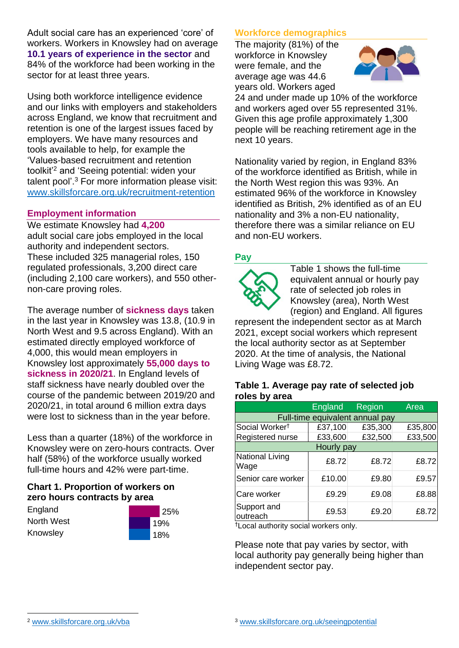Adult social care has an experienced 'core' of workers. Workers in Knowsley had on average **10.1 years of experience in the sector** and 84% of the workforce had been working in the sector for at least three years.

Using both workforce intelligence evidence and our links with employers and stakeholders across England, we know that recruitment and retention is one of the largest issues faced by employers. We have many resources and tools available to help, for example the 'Values-based recruitment and retention toolkit'<sup>2</sup> and 'Seeing potential: widen your talent pool'. <sup>3</sup> For more information please visit: [www.skillsforcare.org.uk/recruitment-retention](http://www.skillsforcare.org.uk/recruitment-retention)

#### **Employment information**

We estimate Knowsley had **4,200** adult social care jobs employed in the local authority and independent sectors. These included 325 managerial roles, 150 regulated professionals, 3,200 direct care (including 2,100 care workers), and 550 othernon-care proving roles.

The average number of **sickness days** taken in the last year in Knowsley was 13.8, (10.9 in North West and 9.5 across England). With an estimated directly employed workforce of 4,000, this would mean employers in Knowsley lost approximately **55,000 days to sickness in 2020/21**. In England levels of staff sickness have nearly doubled over the course of the pandemic between 2019/20 and 2020/21, in total around 6 million extra days were lost to sickness than in the year before.

Less than a quarter (18%) of the workforce in Knowsley were on zero-hours contracts. Over half (58%) of the workforce usually worked full-time hours and 42% were part-time.

### **Chart 1. Proportion of workers on zero hours contracts by area**

**England** North West Knowsley



### **Workforce demographics**

The majority (81%) of the workforce in Knowsley were female, and the average age was 44.6 years old. Workers aged



24 and under made up 10% of the workforce and workers aged over 55 represented 31%. Given this age profile approximately 1,300 people will be reaching retirement age in the next 10 years.

Nationality varied by region, in England 83% of the workforce identified as British, while in the North West region this was 93%. An estimated 96% of the workforce in Knowsley identified as British, 2% identified as of an EU nationality and 3% a non-EU nationality, therefore there was a similar reliance on EU and non-EU workers.

### **Pay**



Table 1 shows the full-time equivalent annual or hourly pay rate of selected job roles in Knowsley (area), North West (region) and England. All figures

represent the independent sector as at March 2021, except social workers which represent the local authority sector as at September 2020. At the time of analysis, the National Living Wage was £8.72.

#### **Table 1. Average pay rate of selected job roles by area**

|                                 | <b>England</b> | <b>Region</b> | Area    |
|---------------------------------|----------------|---------------|---------|
| Full-time equivalent annual pay |                |               |         |
| Social Worker <sup>t</sup>      | £37,100        | £35,300       | £35,800 |
| Registered nurse                | £33,600        | £32,500       | £33,500 |
| Hourly pay                      |                |               |         |
| National Living<br>Wage         | £8.72          | £8.72         | £8.72   |
| Senior care worker              | £10.00         | £9.80         | £9.57   |
| Care worker                     | £9.29          | £9.08         | £8.88   |
| Support and<br>outreach         | £9.53          | £9.20         | £8.72   |

†Local authority social workers only.

Please note that pay varies by sector, with local authority pay generally being higher than independent sector pay.